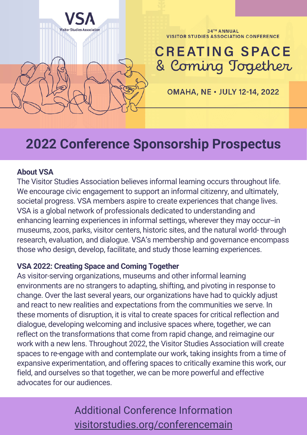

# **2022 Conference Sponsorship Prospectus**

#### **About VSA**

The Visitor Studies Association believes informal learning occurs throughout life. We encourage civic engagement to support an informal citizenry, and ultimately, societal progress. VSA members aspire to create experiences that change lives. VSA is a global network of professionals dedicated to understanding and enhancing learning experiences in informal settings, wherever they may occur--in museums, zoos, parks, visitor centers, historic sites, and the natural world- through research, evaluation, and dialogue. VSA's membership and governance encompass those who design, develop, facilitate, and study those learning experiences.

#### **VSA 2022: Creating Space and Coming Together**

As visitor-serving organizations, museums and other informal learning environments are no strangers to adapting, shifting, and pivoting in response to change. Over the last several years, our organizations have had to quickly adjust and react to new realities and expectations from the communities we serve. In these moments of disruption, it is vital to create spaces for critical reflection and dialogue, developing welcoming and inclusive spaces where, together, we can reflect on the transformations that come from rapid change, and reimagine our work with a new lens. Throughout 2022, the Visitor Studies Association will create spaces to re-engage with and contemplate our work, taking insights from a time of expansive experimentation, and offering spaces to critically examine this work, our field, and ourselves so that together, we can be more powerful and effective advocates for our audiences.

## Additional Conference Information [visitorstudies.org/conferencemain](http://visitorstudies.org/conferencemain)